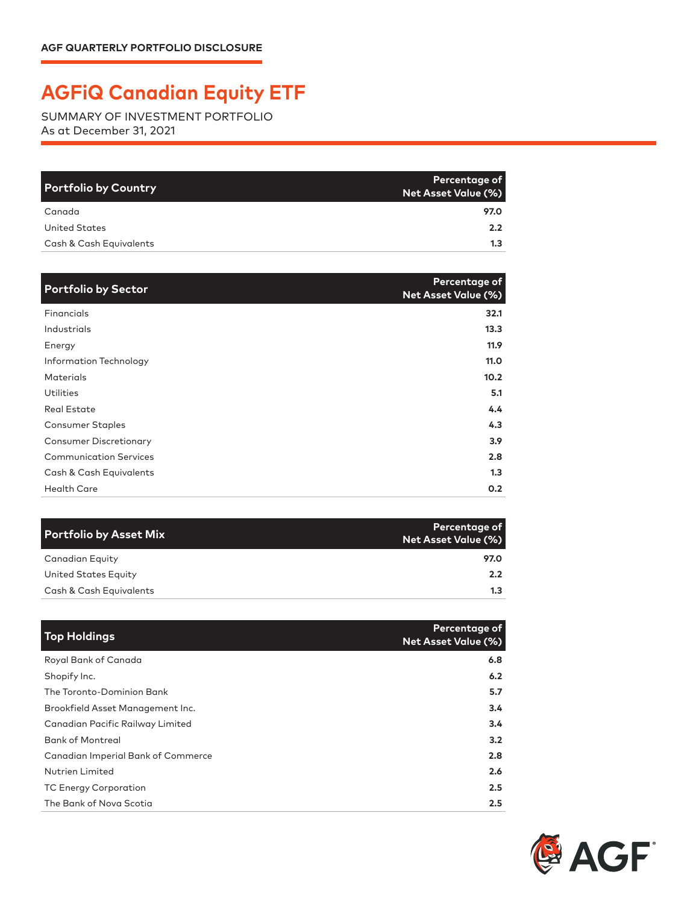## **AGFiQ Canadian Equity ETF**

SUMMARY OF INVESTMENT PORTFOLIO As at December 31, 2021

| <b>Portfolio by Country</b> | Percentage of<br><b>Net Asset Value (%)</b> |
|-----------------------------|---------------------------------------------|
| Canada                      | 97.0                                        |
| United States               | $2.2^{\circ}$                               |
| Cash & Cash Equivalents     | 1.3                                         |

| <b>Portfolio by Sector</b>    | Percentage of<br><b>Net Asset Value (%)</b> |
|-------------------------------|---------------------------------------------|
| Financials                    | 32.1                                        |
| Industrials                   | 13.3                                        |
| Energy                        | 11.9                                        |
| Information Technology        | 11.0                                        |
| <b>Materials</b>              | 10.2 <sub>1</sub>                           |
| Utilities                     | 5.1                                         |
| <b>Real Estate</b>            | 4.4                                         |
| <b>Consumer Staples</b>       | 4.3                                         |
| <b>Consumer Discretionary</b> | 3.9 <sub>2</sub>                            |
| <b>Communication Services</b> | 2.8                                         |
| Cash & Cash Equivalents       | 1.3                                         |
| <b>Health Care</b>            | 0.2                                         |

| Portfolio by Asset Mix  | Percentage of<br>Net Asset Value (%) |
|-------------------------|--------------------------------------|
| <b>Canadian Equity</b>  | 97.0                                 |
| United States Equity    | $2.2^{\circ}$                        |
| Cash & Cash Equivalents | 1.3                                  |

| <b>Top Holdings</b>                | Percentage of<br><b>Net Asset Value (%)</b> |
|------------------------------------|---------------------------------------------|
| Royal Bank of Canada               | 6.8                                         |
| Shopify Inc.                       | 6.2                                         |
| The Toronto-Dominion Bank          | 5.7                                         |
| Brookfield Asset Management Inc.   | 3.4                                         |
| Canadian Pacific Railway Limited   | $3.4^{\circ}$                               |
| <b>Bank of Montreal</b>            | 3.2                                         |
| Canadian Imperial Bank of Commerce | 2.8                                         |
| <b>Nutrien Limited</b>             | 2.6                                         |
| <b>TC Energy Corporation</b>       | 2.5                                         |
| The Bank of Nova Scotia            | 2.5                                         |